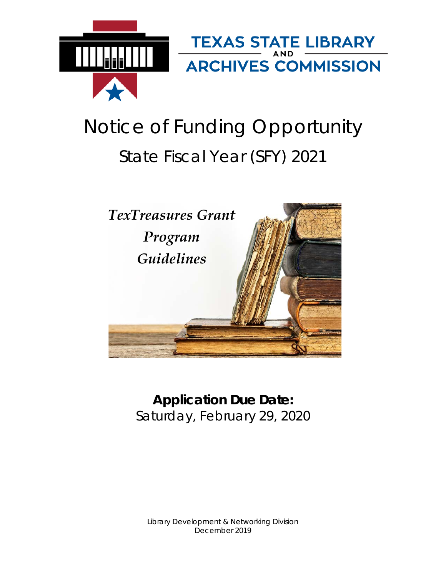

# Notice of Funding Opportunity State Fiscal Year (SFY) 2021



# **Application Due Date:** Saturday, February 29, 2020

Library Development & Networking Division December 2019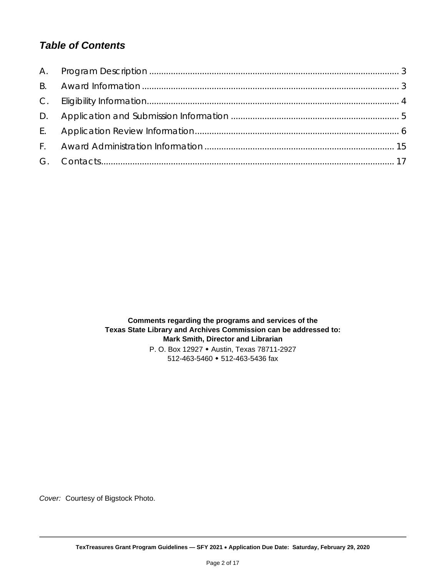# *Table of Contents*

**Comments regarding the programs and services of the Texas State Library and Archives Commission can be addressed to: Mark Smith, Director and Librarian** P. O. Box 12927 Austin, Texas 78711-2927 512-463-5460 512-463-5436 fax

*Cover:* Courtesy of Bigstock Photo.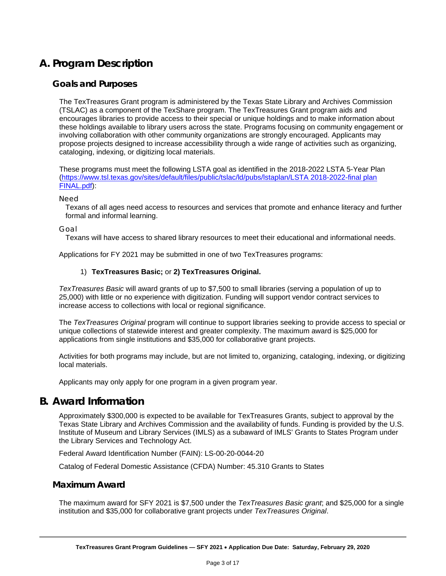# <span id="page-2-0"></span>**A. Program Description**

#### **Goals and Purposes**

The TexTreasures Grant program is administered by the Texas State Library and Archives Commission (TSLAC) as a component of the TexShare program. The TexTreasures Grant program aids and encourages libraries to provide access to their special or unique holdings and to make information about these holdings available to library users across the state. Programs focusing on community engagement or involving collaboration with other community organizations are strongly encouraged. Applicants may propose projects designed to increase accessibility through a wide range of activities such as organizing, cataloging, indexing, or digitizing local materials.

These programs must meet the following LSTA goal as identified in the 2018-2022 LSTA 5-Year Plan [\(https://www.tsl.texas.gov/sites/default/files/public/tslac/ld/pubs/lstaplan/LSTA 2018-2022-final plan](https://www.tsl.texas.gov/sites/default/files/public/tslac/ld/pubs/lstaplan/LSTA%202018-2022-final%20plan%20FINAL.pdf)  [FINAL.pdf\)](https://www.tsl.texas.gov/sites/default/files/public/tslac/ld/pubs/lstaplan/LSTA%202018-2022-final%20plan%20FINAL.pdf):

*Need*

Texans of all ages need access to resources and services that promote and enhance literacy and further formal and informal learning.

*Goal*

Texans will have access to shared library resources to meet their educational and informational needs.

Applications for FY 2021 may be submitted in one of two TexTreasures programs:

#### 1) **TexTreasures Basic;** or **2) TexTreasures Original.**

*TexTreasures Basic* will award grants of up to \$7,500 to small libraries (serving a population of up to 25,000) with little or no experience with digitization. Funding will support vendor contract services to increase access to collections with local or regional significance.

The *TexTreasures Original* program will continue to support libraries seeking to provide access to special or unique collections of statewide interest and greater complexity. The maximum award is \$25,000 for applications from single institutions and \$35,000 for collaborative grant projects.

Activities for both programs may include, but are not limited to, organizing, cataloging, indexing, or digitizing local materials.

Applicants may only apply for one program in a given program year.

# <span id="page-2-1"></span>**B. Award Information**

Approximately \$300,000 is expected to be available for TexTreasures Grants, subject to approval by the Texas State Library and Archives Commission and the availability of funds. Funding is provided by the U.S. Institute of Museum and Library Services (IMLS) as a subaward of IMLS' Grants to States Program under the Library Services and Technology Act.

Federal Award Identification Number (FAIN): LS-00-20-0044-20

Catalog of Federal Domestic Assistance (CFDA) Number: 45.310 Grants to States

#### **Maximum Award**

The maximum award for SFY 2021 is \$7,500 under the *TexTreasures Basic grant*; and \$25,000 for a single institution and \$35,000 for collaborative grant projects under *TexTreasures Original*.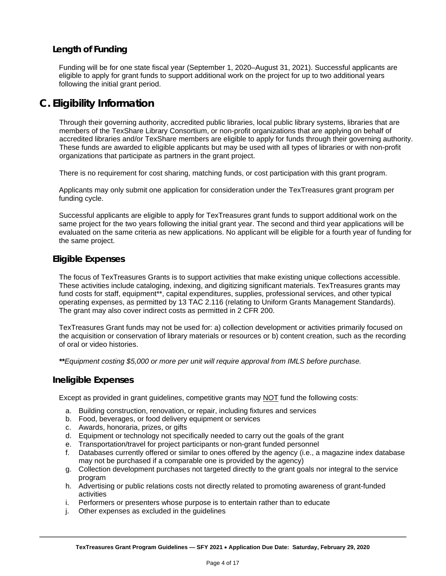# **Length of Funding**

Funding will be for one state fiscal year (September 1, 2020–August 31, 2021). Successful applicants are eligible to apply for grant funds to support additional work on the project for up to two additional years following the initial grant period.

# <span id="page-3-0"></span>**C. Eligibility Information**

Through their governing authority, accredited public libraries, local public library systems, libraries that are members of the TexShare Library Consortium, or non-profit organizations that are applying on behalf of accredited libraries and/or TexShare members are eligible to apply for funds through their governing authority. These funds are awarded to eligible applicants but may be used with all types of libraries or with non-profit organizations that participate as partners in the grant project.

There is no requirement for cost sharing, matching funds, or cost participation with this grant program.

Applicants may only submit one application for consideration under the TexTreasures grant program per funding cycle.

Successful applicants are eligible to apply for TexTreasures grant funds to support additional work on the same project for the two years following the initial grant year. The second and third year applications will be evaluated on the same criteria as new applications. No applicant will be eligible for a fourth year of funding for the same project.

#### **Eligible Expenses**

The focus of TexTreasures Grants is to support activities that make existing unique collections accessible. These activities include cataloging, indexing, and digitizing significant materials. TexTreasures grants may fund costs for staff, equipment\*\*, capital expenditures, supplies, professional services, and other typical operating expenses, as permitted by 13 TAC 2.116 (relating to Uniform Grants Management Standards). The grant may also cover indirect costs as permitted in 2 CFR 200.

TexTreasures Grant funds may not be used for: a) collection development or activities primarily focused on the acquisition or conservation of library materials or resources or b) content creation, such as the recording of oral or video histories.

*\*\*Equipment costing \$5,000 or more per unit will require approval from IMLS before purchase.*

#### **Ineligible Expenses**

Except as provided in grant guidelines, competitive grants may NOT fund the following costs:

- a. Building construction, renovation, or repair, including fixtures and services
- b. Food, beverages, or food delivery equipment or services
- c. Awards, honoraria, prizes, or gifts
- d. Equipment or technology not specifically needed to carry out the goals of the grant
- e. Transportation/travel for project participants or non-grant funded personnel
- f. Databases currently offered or similar to ones offered by the agency (i.e., a magazine index database may not be purchased if a comparable one is provided by the agency)
- g. Collection development purchases not targeted directly to the grant goals nor integral to the service program
- h. Advertising or public relations costs not directly related to promoting awareness of grant-funded activities
- i. Performers or presenters whose purpose is to entertain rather than to educate
- j. Other expenses as excluded in the guidelines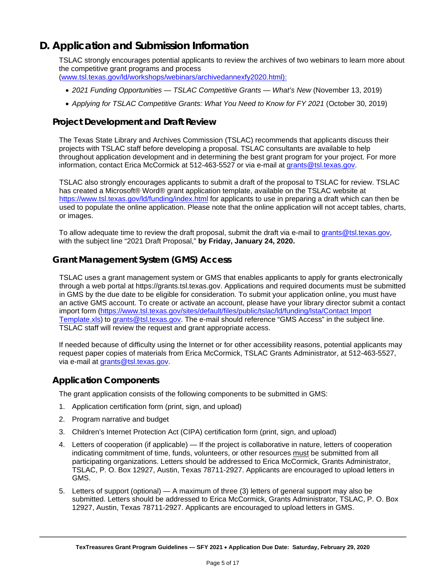# <span id="page-4-0"></span>**D. Application and Submission Information**

TSLAC strongly encourages potential applicants to review the archives of two webinars to learn more about the competitive grant programs and process [\(www.tsl.texas.gov/ld/workshops/webinars/archivedannexfy2020.html\):](www.tsl.texas.gov/ld/workshops/webinars/archivedannexfy2020.html):)

- 
- *2021 Funding Opportunities — TSLAC Competitive Grants — What's New* (November 13, 2019)
- *Applying for TSLAC Competitive Grants: What You Need to Know for FY 2021* (October 30, 2019)

# **Project Development and Draft Review**

The Texas State Library and Archives Commission (TSLAC) recommends that applicants discuss their projects with TSLAC staff before developing a proposal. TSLAC consultants are available to help throughout application development and in determining the best grant program for your project. For more information, contact Erica McCormick at 512-463-5527 or via e-mail at grants@tsl.texas.gov.

TSLAC also strongly encourages applicants to submit a draft of the proposal to TSLAC for review. TSLAC has created a Microsoft® Word® grant application template, available on the TSLAC website at <https://www.tsl.texas.gov/ld/funding/index.html> for applicants to use in preparing a draft which can then be used to populate the online application. Please note that the online application will not accept tables, charts, or images.

To allow adequate time to review the draft proposal, submit the draft via e-mail to [grants@tsl.texas.gov,](mailto:grants@tsl.texas.gov) with the subject line "2021 Draft Proposal," **by Friday, January 24, 2020.**

# **Grant Management System (GMS) Access**

TSLAC uses a grant management system or GMS that enables applicants to apply for grants electronically through a web portal at https://grants.tsl.texas.gov. Applications and required documents must be submitted in GMS by the due date to be eligible for consideration. To submit your application online, you must have an active GMS account. To create or activate an account, please have your library director submit a contact import form [\(https://www.tsl.texas.gov/sites/default/files/public/tslac/ld/funding/lsta/Contact Import](https://www.tsl.texas.gov/sites/default/files/public/tslac/ld/funding/lsta/Contact%20Import%20Template.xls)  [Template.xls\)](https://www.tsl.texas.gov/sites/default/files/public/tslac/ld/funding/lsta/Contact%20Import%20Template.xls) to grants@tsl.texas.gov. The e-mail should reference "GMS Access" in the subject line. TSLAC staff will review the request and grant appropriate access.

If needed because of difficulty using the Internet or for other accessibility reasons, potential applicants may request paper copies of materials from Erica McCormick, TSLAC Grants Administrator, at 512-463-5527, via e-mail at grants@tsl.texas.gov.

# **Application Components**

The grant application consists of the following components to be submitted in GMS:

- 1. Application certification form (print, sign, and upload)
- 2. Program narrative and budget
- 3. Children's Internet Protection Act (CIPA) certification form (print, sign, and upload)
- 4. Letters of cooperation (if applicable) If the project is collaborative in nature, letters of cooperation indicating commitment of time, funds, volunteers, or other resources must be submitted from all participating organizations. Letters should be addressed to Erica McCormick, Grants Administrator, TSLAC, P. O. Box 12927, Austin, Texas 78711-2927. Applicants are encouraged to upload letters in GMS.
- 5. Letters of support (optional) A maximum of three (3) letters of general support may also be submitted. Letters should be addressed to Erica McCormick, Grants Administrator, TSLAC, P. O. Box 12927, Austin, Texas 78711-2927. Applicants are encouraged to upload letters in GMS.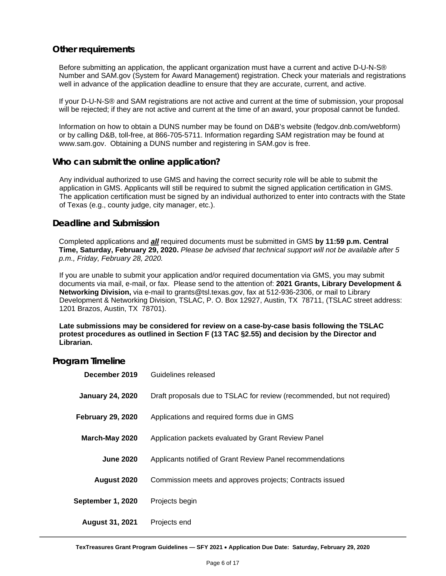#### **Other requirements**

Before submitting an application, the applicant organization must have a current and active D-U-N-S® Number and SAM.gov (System for Award Management) registration. Check your materials and registrations well in advance of the application deadline to ensure that they are accurate, current, and active.

If your D-U-N-S® and SAM registrations are not active and current at the time of submission, your proposal will be rejected; if they are not active and current at the time of an award, your proposal cannot be funded.

Information on how to obtain a DUNS number may be found on D&B's website (fedgov.dnb.com/webform) or by calling D&B, toll-free, at 866-705-5711. Information regarding SAM registration may be found at www.sam.gov. Obtaining a DUNS number and registering in SAM.gov is free.

#### **Who can submit the online application?**

Any individual authorized to use GMS and having the correct security role will be able to submit the application in GMS. Applicants will still be required to submit the signed application certification in GMS. The application certification must be signed by an individual authorized to enter into contracts with the State of Texas (e.g., county judge, city manager, etc.).

#### **Deadline and Submission**

Completed applications and *all* required documents must be submitted in GMS **by 11:59 p.m. Central Time, Saturday, February 29, 2020.** *Please be advised that technical support will not be available after 5 p.m., Friday, February 28, 2020.*

If you are unable to submit your application and/or required documentation via GMS, you may submit documents via mail, e-mail, or fax. Please send to the attention of: **2021 Grants, Library Development & Networking Division,** via e-mail to grants@tsl.texas.gov, fax at 512-936-2306, or mail to Library Development & Networking Division, TSLAC, P. O. Box 12927, Austin, TX 78711, (TSLAC street address: 1201 Brazos, Austin, TX 78701).

**Late submissions may be considered for review on a case-by-case basis following the TSLAC protest procedures as outlined in Section F (13 TAC §2.55) and decision by the Director and Librarian.**

#### **Program Timeline**

<span id="page-5-0"></span>

| December 2019            | Guidelines released                                                     |
|--------------------------|-------------------------------------------------------------------------|
| <b>January 24, 2020</b>  | Draft proposals due to TSLAC for review (recommended, but not required) |
| <b>February 29, 2020</b> | Applications and required forms due in GMS                              |
| March-May 2020           | Application packets evaluated by Grant Review Panel                     |
| <b>June 2020</b>         | Applicants notified of Grant Review Panel recommendations               |
| August 2020              | Commission meets and approves projects; Contracts issued                |
| September 1, 2020        | Projects begin                                                          |
| <b>August 31, 2021</b>   | Projects end                                                            |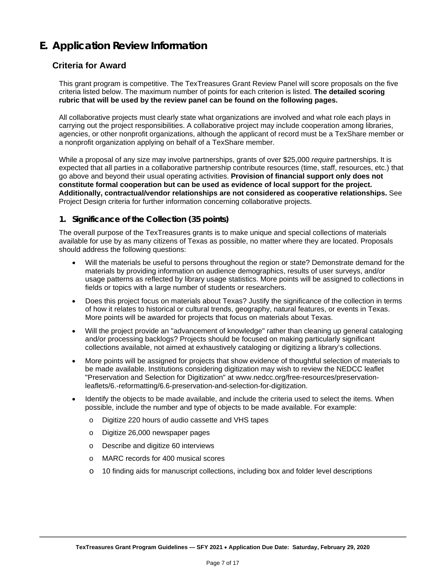# **E. Application Review Information**

## **Criteria for Award**

This grant program is competitive. The TexTreasures Grant Review Panel will score proposals on the five criteria listed below. The maximum number of points for each criterion is listed. **The detailed scoring rubric that will be used by the review panel can be found on the following pages.**

All collaborative projects must clearly state what organizations are involved and what role each plays in carrying out the project responsibilities. A collaborative project may include cooperation among libraries, agencies, or other nonprofit organizations, although the applicant of record must be a TexShare member or a nonprofit organization applying on behalf of a TexShare member.

While a proposal of any size may involve partnerships, grants of over \$25,000 *require* partnerships. It is expected that all parties in a collaborative partnership contribute resources (time, staff, resources, etc.) that go above and beyond their usual operating activities. **Provision of financial support only does not constitute formal cooperation but can be used as evidence of local support for the project. Additionally, contractual/vendor relationships are not considered as cooperative relationships.** See Project Design criteria for further information concerning collaborative projects.

#### **1. Significance of the Collection (35 points)**

The overall purpose of the TexTreasures grants is to make unique and special collections of materials available for use by as many citizens of Texas as possible, no matter where they are located. Proposals should address the following questions:

- Will the materials be useful to persons throughout the region or state? Demonstrate demand for the materials by providing information on audience demographics, results of user surveys, and/or usage patterns as reflected by library usage statistics. More points will be assigned to collections in fields or topics with a large number of students or researchers.
- Does this project focus on materials about Texas? Justify the significance of the collection in terms of how it relates to historical or cultural trends, geography, natural features, or events in Texas. More points will be awarded for projects that focus on materials about Texas.
- Will the project provide an "advancement of knowledge" rather than cleaning up general cataloging and/or processing backlogs? Projects should be focused on making particularly significant collections available, not aimed at exhaustively cataloging or digitizing a library's collections.
- More points will be assigned for projects that show evidence of thoughtful selection of materials to be made available. Institutions considering digitization may wish to review the NEDCC leaflet "Preservation and Selection for Digitization" at www.nedcc.org/free-resources/preservationleaflets/6.-reformatting/6.6-preservation-and-selection-for-digitization.
- Identify the objects to be made available, and include the criteria used to select the items. When possible, include the number and type of objects to be made available. For example:
	- o Digitize 220 hours of audio cassette and VHS tapes
	- o Digitize 26,000 newspaper pages
	- o Describe and digitize 60 interviews
	- o MARC records for 400 musical scores
	- o 10 finding aids for manuscript collections, including box and folder level descriptions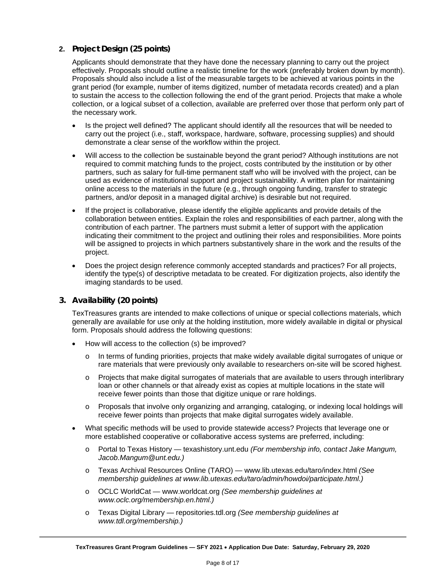#### **2. Project Design (25 points)**

Applicants should demonstrate that they have done the necessary planning to carry out the project effectively. Proposals should outline a realistic timeline for the work (preferably broken down by month). Proposals should also include a list of the measurable targets to be achieved at various points in the grant period (for example, number of items digitized, number of metadata records created) and a plan to sustain the access to the collection following the end of the grant period. Projects that make a whole collection, or a logical subset of a collection, available are preferred over those that perform only part of the necessary work.

- Is the project well defined? The applicant should identify all the resources that will be needed to carry out the project (i.e., staff, workspace, hardware, software, processing supplies) and should demonstrate a clear sense of the workflow within the project.
- Will access to the collection be sustainable beyond the grant period? Although institutions are not required to commit matching funds to the project, costs contributed by the institution or by other partners, such as salary for full-time permanent staff who will be involved with the project, can be used as evidence of institutional support and project sustainability. A written plan for maintaining online access to the materials in the future (e.g., through ongoing funding, transfer to strategic partners, and/or deposit in a managed digital archive) is desirable but not required.
- If the project is collaborative, please identify the eligible applicants and provide details of the collaboration between entities. Explain the roles and responsibilities of each partner, along with the contribution of each partner. The partners must submit a letter of support with the application indicating their commitment to the project and outlining their roles and responsibilities. More points will be assigned to projects in which partners substantively share in the work and the results of the project.
- Does the project design reference commonly accepted standards and practices? For all projects, identify the type(s) of descriptive metadata to be created. For digitization projects, also identify the imaging standards to be used.

#### **3. Availability (20 points)**

TexTreasures grants are intended to make collections of unique or special collections materials, which generally are available for use only at the holding institution, more widely available in digital or physical form. Proposals should address the following questions:

- How will access to the collection (s) be improved?
	- o In terms of funding priorities, projects that make widely available digital surrogates of unique or rare materials that were previously only available to researchers on-site will be scored highest.
	- o Projects that make digital surrogates of materials that are available to users through interlibrary loan or other channels or that already exist as copies at multiple locations in the state will receive fewer points than those that digitize unique or rare holdings.
	- Proposals that involve only organizing and arranging, cataloging, or indexing local holdings will receive fewer points than projects that make digital surrogates widely available.
- What specific methods will be used to provide statewide access? Projects that leverage one or more established cooperative or collaborative access systems are preferred, including:
	- o Portal to Texas History texashistory.unt.edu *(For membership info, contact Jake Mangum, Jacob.Mangum@unt.edu.)*
	- o Texas Archival Resources Online (TARO) www.lib.utexas.edu/taro/index.html *(See membership guidelines at www.lib.utexas.edu/taro/admin/howdoi/participate.html.)*
	- o OCLC WorldCat www.worldcat.org *(See membership guidelines at www.oclc.org/membership.en.html.)*
	- o Texas Digital Library repositories.tdl.org *(See membership guidelines at www.tdl.org/membership.)*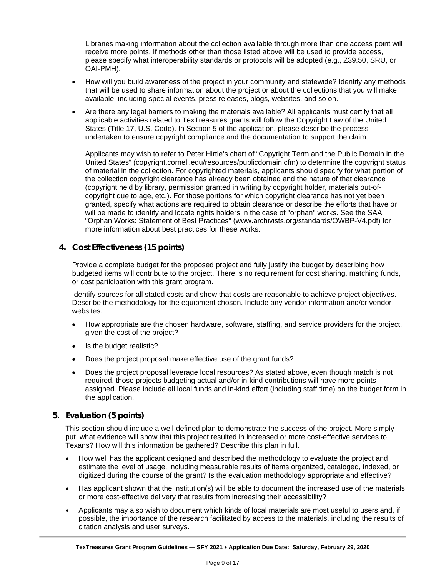Libraries making information about the collection available through more than one access point will receive more points. If methods other than those listed above will be used to provide access, please specify what interoperability standards or protocols will be adopted (e.g., Z39.50, SRU, or OAI-PMH).

- How will you build awareness of the project in your community and statewide? Identify any methods that will be used to share information about the project or about the collections that you will make available, including special events, press releases, blogs, websites, and so on.
- Are there any legal barriers to making the materials available? All applicants must certify that all applicable activities related to TexTreasures grants will follow the Copyright Law of the United States (Title 17, U.S. Code). In Section 5 of the application, please describe the process undertaken to ensure copyright compliance and the documentation to support the claim.

Applicants may wish to refer to Peter Hirtle's chart of "Copyright Term and the Public Domain in the United States" (copyright.cornell.edu/resources/publicdomain.cfm) to determine the copyright status of material in the collection. For copyrighted materials, applicants should specify for what portion of the collection copyright clearance has already been obtained and the nature of that clearance (copyright held by library, permission granted in writing by copyright holder, materials out-ofcopyright due to age, etc.). For those portions for which copyright clearance has not yet been granted, specify what actions are required to obtain clearance or describe the efforts that have or will be made to identify and locate rights holders in the case of "orphan" works. See the SAA "Orphan Works: Statement of Best Practices" (www.archivists.org/standards/OWBP-V4.pdf) for more information about best practices for these works.

#### **4. Cost Effectiveness (15 points)**

Provide a complete budget for the proposed project and fully justify the budget by describing how budgeted items will contribute to the project. There is no requirement for cost sharing, matching funds, or cost participation with this grant program.

Identify sources for all stated costs and show that costs are reasonable to achieve project objectives. Describe the methodology for the equipment chosen. Include any vendor information and/or vendor websites.

- How appropriate are the chosen hardware, software, staffing, and service providers for the project, given the cost of the project?
- Is the budget realistic?
- Does the project proposal make effective use of the grant funds?
- Does the project proposal leverage local resources? As stated above, even though match is not required, those projects budgeting actual and/or in-kind contributions will have more points assigned. Please include all local funds and in-kind effort (including staff time) on the budget form in the application.

#### **5. Evaluation (5 points)**

This section should include a well-defined plan to demonstrate the success of the project. More simply put, what evidence will show that this project resulted in increased or more cost-effective services to Texans? How will this information be gathered? Describe this plan in full.

- How well has the applicant designed and described the methodology to evaluate the project and estimate the level of usage, including measurable results of items organized, cataloged, indexed, or digitized during the course of the grant? Is the evaluation methodology appropriate and effective?
- Has applicant shown that the institution(s) will be able to document the increased use of the materials or more cost-effective delivery that results from increasing their accessibility?
- Applicants may also wish to document which kinds of local materials are most useful to users and, if possible, the importance of the research facilitated by access to the materials, including the results of citation analysis and user surveys.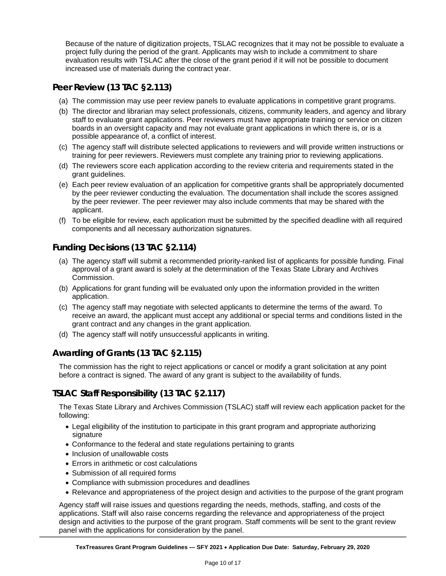Because of the nature of digitization projects, TSLAC recognizes that it may not be possible to evaluate a project fully during the period of the grant. Applicants may wish to include a commitment to share evaluation results with TSLAC after the close of the grant period if it will not be possible to document increased use of materials during the contract year.

# **Peer Review (13 TAC §2.113)**

- (a) The commission may use peer review panels to evaluate applications in competitive grant programs.
- (b) The director and librarian may select professionals, citizens, community leaders, and agency and library staff to evaluate grant applications. Peer reviewers must have appropriate training or service on citizen boards in an oversight capacity and may not evaluate grant applications in which there is, or is a possible appearance of, a conflict of interest.
- (c) The agency staff will distribute selected applications to reviewers and will provide written instructions or training for peer reviewers. Reviewers must complete any training prior to reviewing applications.
- (d) The reviewers score each application according to the review criteria and requirements stated in the grant guidelines.
- (e) Each peer review evaluation of an application for competitive grants shall be appropriately documented by the peer reviewer conducting the evaluation. The documentation shall include the scores assigned by the peer reviewer. The peer reviewer may also include comments that may be shared with the applicant.
- (f) To be eligible for review, each application must be submitted by the specified deadline with all required components and all necessary authorization signatures.

# **Funding Decisions (13 TAC §2.114)**

- (a) The agency staff will submit a recommended priority-ranked list of applicants for possible funding. Final approval of a grant award is solely at the determination of the Texas State Library and Archives Commission.
- (b) Applications for grant funding will be evaluated only upon the information provided in the written application.
- (c) The agency staff may negotiate with selected applicants to determine the terms of the award. To receive an award, the applicant must accept any additional or special terms and conditions listed in the grant contract and any changes in the grant application.
- (d) The agency staff will notify unsuccessful applicants in writing.

# **Awarding of Grants (13 TAC §2.115)**

The commission has the right to reject applications or cancel or modify a grant solicitation at any point before a contract is signed. The award of any grant is subject to the availability of funds.

# **TSLAC Staff Responsibility (13 TAC §2.117)**

The Texas State Library and Archives Commission (TSLAC) staff will review each application packet for the following:

- Legal eligibility of the institution to participate in this grant program and appropriate authorizing signature
- Conformance to the federal and state regulations pertaining to grants
- Inclusion of unallowable costs
- Errors in arithmetic or cost calculations
- Submission of all required forms
- Compliance with submission procedures and deadlines
- Relevance and appropriateness of the project design and activities to the purpose of the grant program

Agency staff will raise issues and questions regarding the needs, methods, staffing, and costs of the applications. Staff will also raise concerns regarding the relevance and appropriateness of the project design and activities to the purpose of the grant program. Staff comments will be sent to the grant review panel with the applications for consideration by the panel.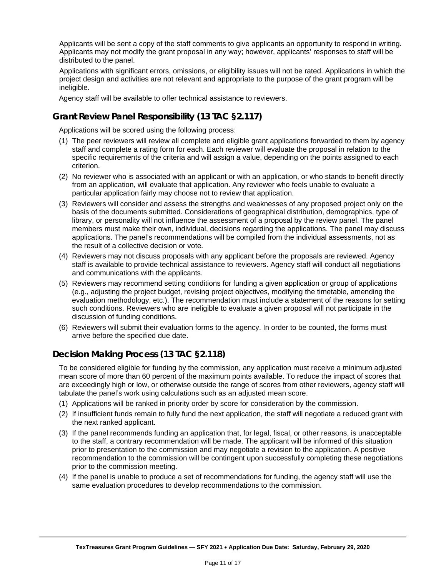Applicants will be sent a copy of the staff comments to give applicants an opportunity to respond in writing. Applicants may not modify the grant proposal in any way; however, applicants' responses to staff will be distributed to the panel.

Applications with significant errors, omissions, or eligibility issues will not be rated. Applications in which the project design and activities are not relevant and appropriate to the purpose of the grant program will be ineligible.

Agency staff will be available to offer technical assistance to reviewers.

# **Grant Review Panel Responsibility (13 TAC §2.117)**

Applications will be scored using the following process:

- (1) The peer reviewers will review all complete and eligible grant applications forwarded to them by agency staff and complete a rating form for each. Each reviewer will evaluate the proposal in relation to the specific requirements of the criteria and will assign a value, depending on the points assigned to each criterion.
- (2) No reviewer who is associated with an applicant or with an application, or who stands to benefit directly from an application, will evaluate that application. Any reviewer who feels unable to evaluate a particular application fairly may choose not to review that application.
- (3) Reviewers will consider and assess the strengths and weaknesses of any proposed project only on the basis of the documents submitted. Considerations of geographical distribution, demographics, type of library, or personality will not influence the assessment of a proposal by the review panel. The panel members must make their own, individual, decisions regarding the applications. The panel may discuss applications. The panel's recommendations will be compiled from the individual assessments, not as the result of a collective decision or vote.
- (4) Reviewers may not discuss proposals with any applicant before the proposals are reviewed. Agency staff is available to provide technical assistance to reviewers. Agency staff will conduct all negotiations and communications with the applicants.
- (5) Reviewers may recommend setting conditions for funding a given application or group of applications (e.g., adjusting the project budget, revising project objectives, modifying the timetable, amending the evaluation methodology, etc.). The recommendation must include a statement of the reasons for setting such conditions. Reviewers who are ineligible to evaluate a given proposal will not participate in the discussion of funding conditions.
- (6) Reviewers will submit their evaluation forms to the agency. In order to be counted, the forms must arrive before the specified due date.

# **Decision Making Process (13 TAC §2.118)**

To be considered eligible for funding by the commission, any application must receive a minimum adjusted mean score of more than 60 percent of the maximum points available. To reduce the impact of scores that are exceedingly high or low, or otherwise outside the range of scores from other reviewers, agency staff will tabulate the panel's work using calculations such as an adjusted mean score.

- (1) Applications will be ranked in priority order by score for consideration by the commission.
- (2) If insufficient funds remain to fully fund the next application, the staff will negotiate a reduced grant with the next ranked applicant.
- (3) If the panel recommends funding an application that, for legal, fiscal, or other reasons, is unacceptable to the staff, a contrary recommendation will be made. The applicant will be informed of this situation prior to presentation to the commission and may negotiate a revision to the application. A positive recommendation to the commission will be contingent upon successfully completing these negotiations prior to the commission meeting.
- (4) If the panel is unable to produce a set of recommendations for funding, the agency staff will use the same evaluation procedures to develop recommendations to the commission.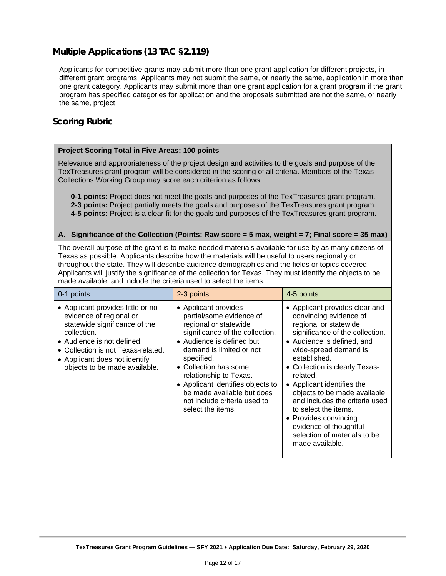# **Multiple Applications (13 TAC §2.119)**

Applicants for competitive grants may submit more than one grant application for different projects, in different grant programs. Applicants may not submit the same, or nearly the same, application in more than one grant category. Applicants may submit more than one grant application for a grant program if the grant program has specified categories for application and the proposals submitted are not the same, or nearly the same, project.

## **Scoring Rubric**

#### **Project Scoring Total in Five Areas: 100 points**

Relevance and appropriateness of the project design and activities to the goals and purpose of the TexTreasures grant program will be considered in the scoring of all criteria. Members of the Texas Collections Working Group may score each criterion as follows:

**0-1 points:** Project does not meet the goals and purposes of the TexTreasures grant program. **2-3 points:** Project partially meets the goals and purposes of the TexTreasures grant program. **4-5 points:** Project is a clear fit for the goals and purposes of the TexTreasures grant program.

#### **A. Significance of the Collection (Points: Raw score = 5 max, weight = 7; Final score = 35 max)**

The overall purpose of the grant is to make needed materials available for use by as many citizens of Texas as possible. Applicants describe how the materials will be useful to users regionally or throughout the state. They will describe audience demographics and the fields or topics covered. Applicants will justify the significance of the collection for Texas. They must identify the objects to be made available, and include the criteria used to select the items.

| 0-1 points                                                                                                                                                                                                                                         | 2-3 points                                                                                                                                                                                                                                                                                                                                                     | 4-5 points                                                                                                                                                                                                                                                                                                                                                                                                                                                              |
|----------------------------------------------------------------------------------------------------------------------------------------------------------------------------------------------------------------------------------------------------|----------------------------------------------------------------------------------------------------------------------------------------------------------------------------------------------------------------------------------------------------------------------------------------------------------------------------------------------------------------|-------------------------------------------------------------------------------------------------------------------------------------------------------------------------------------------------------------------------------------------------------------------------------------------------------------------------------------------------------------------------------------------------------------------------------------------------------------------------|
| • Applicant provides little or no<br>evidence of regional or<br>statewide significance of the<br>collection.<br>• Audience is not defined.<br>• Collection is not Texas-related.<br>• Applicant does not identify<br>objects to be made available. | • Applicant provides<br>partial/some evidence of<br>regional or statewide<br>significance of the collection.<br>• Audience is defined but<br>demand is limited or not<br>specified.<br>• Collection has some<br>relationship to Texas.<br>• Applicant identifies objects to<br>be made available but does<br>not include criteria used to<br>select the items. | • Applicant provides clear and<br>convincing evidence of<br>regional or statewide<br>significance of the collection.<br>• Audience is defined, and<br>wide-spread demand is<br>established.<br>• Collection is clearly Texas-<br>related.<br>• Applicant identifies the<br>objects to be made available<br>and includes the criteria used<br>to select the items.<br>• Provides convincing<br>evidence of thoughtful<br>selection of materials to be<br>made available. |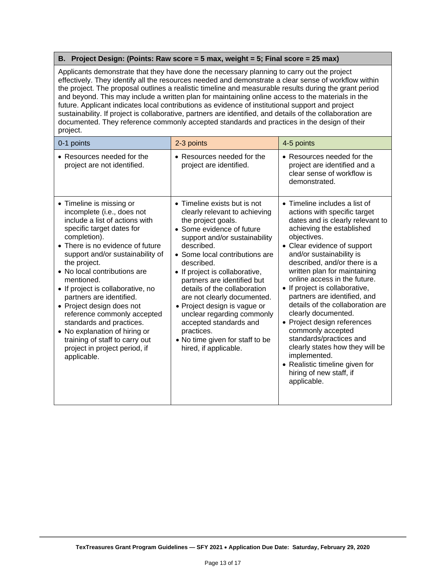#### **B. Project Design: (Points: Raw score = 5 max, weight = 5; Final score = 25 max)**

Applicants demonstrate that they have done the necessary planning to carry out the project effectively. They identify all the resources needed and demonstrate a clear sense of workflow within the project. The proposal outlines a realistic timeline and measurable results during the grant period and beyond. This may include a written plan for maintaining online access to the materials in the future. Applicant indicates local contributions as evidence of institutional support and project sustainability. If project is collaborative, partners are identified, and details of the collaboration are documented. They reference commonly accepted standards and practices in the design of their project.

| 0-1 points                                                                                                                                                                                                                                                                                                                                                                                                                                                                                                                                              | 2-3 points                                                                                                                                                                                                                                                                                                                                                                                                                                                                                                        | 4-5 points                                                                                                                                                                                                                                                                                                                                                                                                                                                                                                                                                                                                                                                  |
|---------------------------------------------------------------------------------------------------------------------------------------------------------------------------------------------------------------------------------------------------------------------------------------------------------------------------------------------------------------------------------------------------------------------------------------------------------------------------------------------------------------------------------------------------------|-------------------------------------------------------------------------------------------------------------------------------------------------------------------------------------------------------------------------------------------------------------------------------------------------------------------------------------------------------------------------------------------------------------------------------------------------------------------------------------------------------------------|-------------------------------------------------------------------------------------------------------------------------------------------------------------------------------------------------------------------------------------------------------------------------------------------------------------------------------------------------------------------------------------------------------------------------------------------------------------------------------------------------------------------------------------------------------------------------------------------------------------------------------------------------------------|
| • Resources needed for the<br>project are not identified.                                                                                                                                                                                                                                                                                                                                                                                                                                                                                               | • Resources needed for the<br>project are identified.                                                                                                                                                                                                                                                                                                                                                                                                                                                             | • Resources needed for the<br>project are identified and a<br>clear sense of workflow is<br>demonstrated.                                                                                                                                                                                                                                                                                                                                                                                                                                                                                                                                                   |
| • Timeline is missing or<br>incomplete (i.e., does not<br>include a list of actions with<br>specific target dates for<br>completion).<br>• There is no evidence of future<br>support and/or sustainability of<br>the project.<br>• No local contributions are<br>mentioned.<br>• If project is collaborative, no<br>partners are identified.<br>• Project design does not<br>reference commonly accepted<br>standards and practices.<br>• No explanation of hiring or<br>training of staff to carry out<br>project in project period, if<br>applicable. | • Timeline exists but is not<br>clearly relevant to achieving<br>the project goals.<br>• Some evidence of future<br>support and/or sustainability<br>described.<br>• Some local contributions are<br>described.<br>• If project is collaborative,<br>partners are identified but<br>details of the collaboration<br>are not clearly documented.<br>• Project design is vague or<br>unclear regarding commonly<br>accepted standards and<br>practices.<br>• No time given for staff to be<br>hired, if applicable. | $\bullet$ Timeline includes a list of<br>actions with specific target<br>dates and is clearly relevant to<br>achieving the established<br>objectives.<br>• Clear evidence of support<br>and/or sustainability is<br>described, and/or there is a<br>written plan for maintaining<br>online access in the future.<br>• If project is collaborative,<br>partners are identified, and<br>details of the collaboration are<br>clearly documented.<br>• Project design references<br>commonly accepted<br>standards/practices and<br>clearly states how they will be<br>implemented.<br>• Realistic timeline given for<br>hiring of new staff, if<br>applicable. |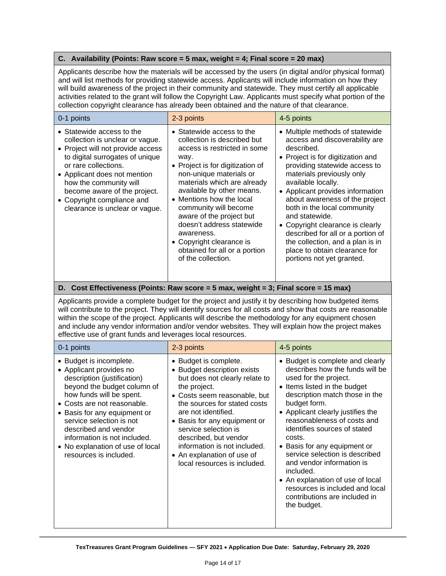#### **C. Availability (Points: Raw score = 5 max, weight = 4; Final score = 20 max)**

Applicants describe how the materials will be accessed by the users (in digital and/or physical format) and will list methods for providing statewide access. Applicants will include information on how they will build awareness of the project in their community and statewide. They must certify all applicable activities related to the grant will follow the Copyright Law. Applicants must specify what portion of the collection copyright clearance has already been obtained and the nature of that clearance.

| 0-1 points                                                                                                                                                                                                                                                                                                             | 2-3 points                                                                                                                                                                                                                                                                                                                                                                                                                                 | 4-5 points                                                                                                                                                                                                                                                                                                                                                                                                                                                                                                 |
|------------------------------------------------------------------------------------------------------------------------------------------------------------------------------------------------------------------------------------------------------------------------------------------------------------------------|--------------------------------------------------------------------------------------------------------------------------------------------------------------------------------------------------------------------------------------------------------------------------------------------------------------------------------------------------------------------------------------------------------------------------------------------|------------------------------------------------------------------------------------------------------------------------------------------------------------------------------------------------------------------------------------------------------------------------------------------------------------------------------------------------------------------------------------------------------------------------------------------------------------------------------------------------------------|
| • Statewide access to the<br>collection is unclear or vague.<br>• Project will not provide access<br>to digital surrogates of unique<br>or rare collections.<br>• Applicant does not mention<br>how the community will<br>become aware of the project.<br>• Copyright compliance and<br>clearance is unclear or vague. | • Statewide access to the<br>collection is described but<br>access is restricted in some<br>way.<br>• Project is for digitization of<br>non-unique materials or<br>materials which are already<br>available by other means.<br>• Mentions how the local<br>community will become<br>aware of the project but<br>doesn't address statewide<br>awareness.<br>• Copyright clearance is<br>obtained for all or a portion<br>of the collection. | • Multiple methods of statewide<br>access and discoverability are<br>described.<br>• Project is for digitization and<br>providing statewide access to<br>materials previously only<br>available locally.<br>• Applicant provides information<br>about awareness of the project<br>both in the local community<br>and statewide.<br>• Copyright clearance is clearly<br>described for all or a portion of<br>the collection, and a plan is in<br>place to obtain clearance for<br>portions not yet granted. |

#### **D. Cost Effectiveness (Points: Raw score = 5 max, weight = 3; Final score = 15 max)**

Applicants provide a complete budget for the project and justify it by describing how budgeted items will contribute to the project. They will identify sources for all costs and show that costs are reasonable within the scope of the project. Applicants will describe the methodology for any equipment chosen and include any vendor information and/or vendor websites. They will explain how the project makes effective use of grant funds and leverages local resources.

| 0-1 points                                                                                                                                                                                                                                                                                                                                                    | 2-3 points                                                                                                                                                                                                                                                                                                                                                                   | 4-5 points                                                                                                                                                                                                                                                                                                                                                                                                                                                                                                                      |
|---------------------------------------------------------------------------------------------------------------------------------------------------------------------------------------------------------------------------------------------------------------------------------------------------------------------------------------------------------------|------------------------------------------------------------------------------------------------------------------------------------------------------------------------------------------------------------------------------------------------------------------------------------------------------------------------------------------------------------------------------|---------------------------------------------------------------------------------------------------------------------------------------------------------------------------------------------------------------------------------------------------------------------------------------------------------------------------------------------------------------------------------------------------------------------------------------------------------------------------------------------------------------------------------|
| • Budget is incomplete.<br>• Applicant provides no<br>description (justification)<br>beyond the budget column of<br>how funds will be spent.<br>• Costs are not reasonable.<br>• Basis for any equipment or<br>service selection is not<br>described and vendor<br>information is not included.<br>• No explanation of use of local<br>resources is included. | • Budget is complete.<br>• Budget description exists<br>but does not clearly relate to<br>the project.<br>• Costs seem reasonable, but<br>the sources for stated costs<br>are not identified.<br>• Basis for any equipment or<br>service selection is<br>described, but vendor<br>information is not included.<br>• An explanation of use of<br>local resources is included. | • Budget is complete and clearly<br>describes how the funds will be<br>used for the project.<br>• Items listed in the budget<br>description match those in the<br>budget form.<br>• Applicant clearly justifies the<br>reasonableness of costs and<br>identifies sources of stated<br>costs.<br>• Basis for any equipment or<br>service selection is described<br>and vendor information is<br>included.<br>• An explanation of use of local<br>resources is included and local<br>contributions are included in<br>the budget. |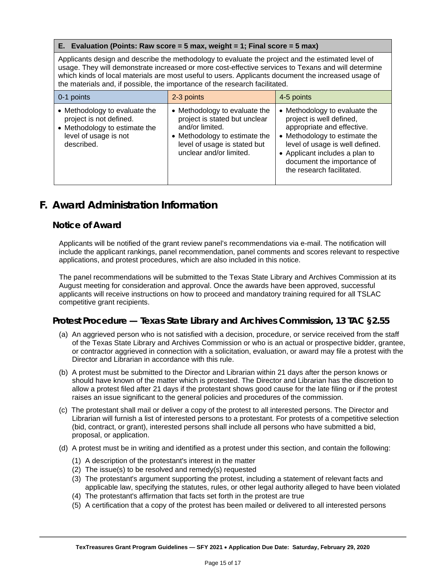#### **E. Evaluation (Points: Raw score = 5 max, weight = 1; Final score = 5 max)**

Applicants design and describe the methodology to evaluate the project and the estimated level of usage. They will demonstrate increased or more cost-effective services to Texans and will determine which kinds of local materials are most useful to users. Applicants document the increased usage of the materials and, if possible, the importance of the research facilitated.

| 0-1 points                                                                                                                       | 2-3 points                                                                                                                                                                    | 4-5 points                                                                                                                                                                                                                                               |
|----------------------------------------------------------------------------------------------------------------------------------|-------------------------------------------------------------------------------------------------------------------------------------------------------------------------------|----------------------------------------------------------------------------------------------------------------------------------------------------------------------------------------------------------------------------------------------------------|
| • Methodology to evaluate the<br>project is not defined.<br>• Methodology to estimate the<br>level of usage is not<br>described. | • Methodology to evaluate the<br>project is stated but unclear<br>and/or limited.<br>• Methodology to estimate the<br>level of usage is stated but<br>unclear and/or limited. | • Methodology to evaluate the<br>project is well defined,<br>appropriate and effective.<br>• Methodology to estimate the<br>level of usage is well defined.<br>• Applicant includes a plan to<br>document the importance of<br>the research facilitated. |

# <span id="page-14-0"></span>**F. Award Administration Information**

#### **Notice of Award**

Applicants will be notified of the grant review panel's recommendations via e-mail. The notification will include the applicant rankings, panel recommendation, panel comments and scores relevant to respective applications, and protest procedures, which are also included in this notice.

The panel recommendations will be submitted to the Texas State Library and Archives Commission at its August meeting for consideration and approval. Once the awards have been approved, successful applicants will receive instructions on how to proceed and mandatory training required for all TSLAC competitive grant recipients.

# **Protest Procedure — Texas State Library and Archives Commission, 13 TAC §2.55**

- (a) An aggrieved person who is not satisfied with a decision, procedure, or service received from the staff of the Texas State Library and Archives Commission or who is an actual or prospective bidder, grantee, or contractor aggrieved in connection with a solicitation, evaluation, or award may file a protest with the Director and Librarian in accordance with this rule.
- (b) A protest must be submitted to the Director and Librarian within 21 days after the person knows or should have known of the matter which is protested. The Director and Librarian has the discretion to allow a protest filed after 21 days if the protestant shows good cause for the late filing or if the protest raises an issue significant to the general policies and procedures of the commission.
- (c) The protestant shall mail or deliver a copy of the protest to all interested persons. The Director and Librarian will furnish a list of interested persons to a protestant. For protests of a competitive selection (bid, contract, or grant), interested persons shall include all persons who have submitted a bid, proposal, or application.
- (d) A protest must be in writing and identified as a protest under this section, and contain the following:
	- (1) A description of the protestant's interest in the matter
	- (2) The issue(s) to be resolved and remedy(s) requested
	- (3) The protestant's argument supporting the protest, including a statement of relevant facts and applicable law, specifying the statutes, rules, or other legal authority alleged to have been violated
	- (4) The protestant's affirmation that facts set forth in the protest are true
	- (5) A certification that a copy of the protest has been mailed or delivered to all interested persons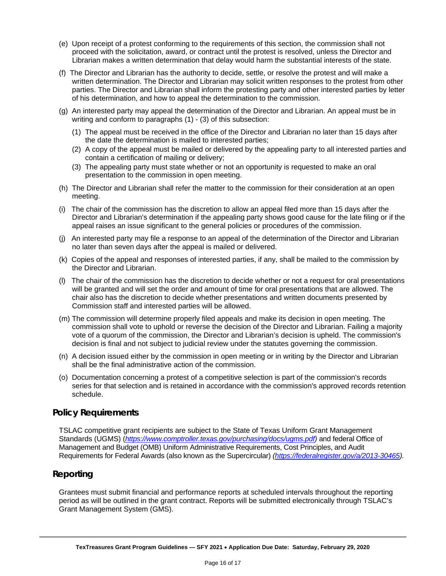- (e) Upon receipt of a protest conforming to the requirements of this section, the commission shall not proceed with the solicitation, award, or contract until the protest is resolved, unless the Director and Librarian makes a written determination that delay would harm the substantial interests of the state.
- (f) The Director and Librarian has the authority to decide, settle, or resolve the protest and will make a written determination. The Director and Librarian may solicit written responses to the protest from other parties. The Director and Librarian shall inform the protesting party and other interested parties by letter of his determination, and how to appeal the determination to the commission.
- (g) An interested party may appeal the determination of the Director and Librarian. An appeal must be in writing and conform to paragraphs (1) - (3) of this subsection:
	- (1) The appeal must be received in the office of the Director and Librarian no later than 15 days after the date the determination is mailed to interested parties;
	- (2) A copy of the appeal must be mailed or delivered by the appealing party to all interested parties and contain a certification of mailing or delivery;
	- (3) The appealing party must state whether or not an opportunity is requested to make an oral presentation to the commission in open meeting.
- (h) The Director and Librarian shall refer the matter to the commission for their consideration at an open meeting.
- (i) The chair of the commission has the discretion to allow an appeal filed more than 15 days after the Director and Librarian's determination if the appealing party shows good cause for the late filing or if the appeal raises an issue significant to the general policies or procedures of the commission.
- (j) An interested party may file a response to an appeal of the determination of the Director and Librarian no later than seven days after the appeal is mailed or delivered.
- (k) Copies of the appeal and responses of interested parties, if any, shall be mailed to the commission by the Director and Librarian.
- (l) The chair of the commission has the discretion to decide whether or not a request for oral presentations will be granted and will set the order and amount of time for oral presentations that are allowed. The chair also has the discretion to decide whether presentations and written documents presented by Commission staff and interested parties will be allowed.
- (m) The commission will determine properly filed appeals and make its decision in open meeting. The commission shall vote to uphold or reverse the decision of the Director and Librarian. Failing a majority vote of a quorum of the commission, the Director and Librarian's decision is upheld. The commission's decision is final and not subject to judicial review under the statutes governing the commission.
- (n) A decision issued either by the commission in open meeting or in writing by the Director and Librarian shall be the final administrative action of the commission.
- (o) Documentation concerning a protest of a competitive selection is part of the commission's records series for that selection and is retained in accordance with the commission's approved records retention schedule.

#### **Policy Requirements**

TSLAC competitive grant recipients are subject to the State of Texas Uniform Grant Management Standards (UGMS) (*[https://www.comptroller.texas.gov/purchasing/docs/ugms.pdf\)](https://www.comptroller.texas.gov/purchasing/docs/ugms.pdf)* and federal Office of Management and Budget (OMB) Uniform Administrative Requirements, Cost Principles, and Audit Requirements for Federal Awards (also known as the Supercircular) *[\(https://federalregister.gov/a/2013-30465\)](https://federalregister.gov/a/2013-30465).*

#### **Reporting**

Grantees must submit financial and performance reports at scheduled intervals throughout the reporting period as will be outlined in the grant contract. Reports will be submitted electronically through TSLAC's Grant Management System (GMS).